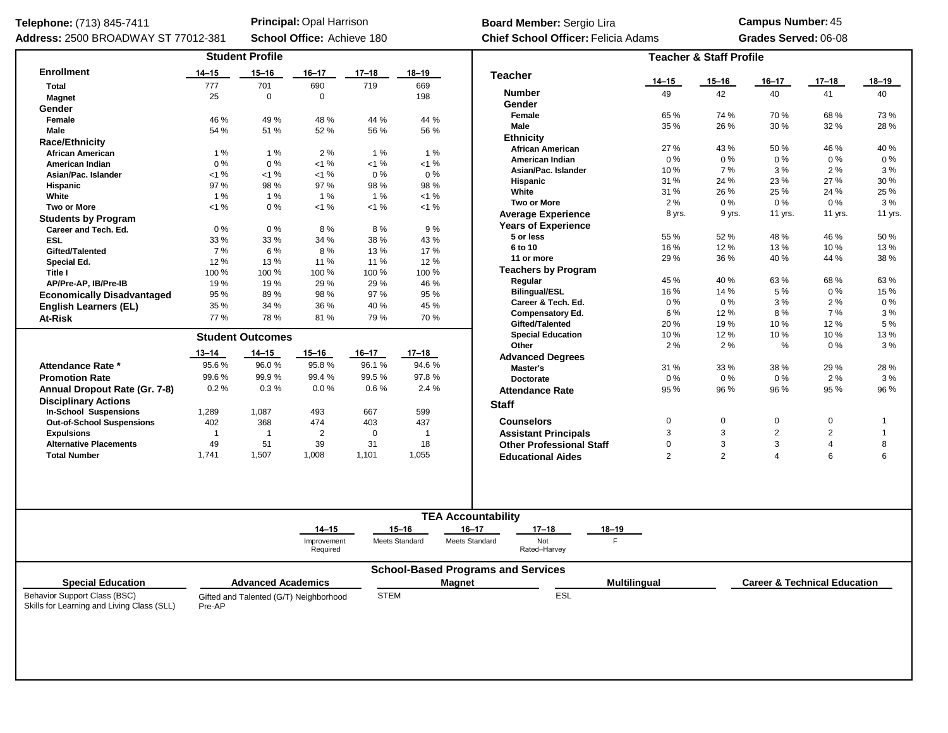| Telephone: (713) 845-7411                                                  |           |                           | <b>Principal: Opal Harrison</b>        |                |                | Board Member: Sergio Lira                   |                      | <b>Campus Number: 45</b>           |                                         |                |                |  |  |  |  |
|----------------------------------------------------------------------------|-----------|---------------------------|----------------------------------------|----------------|----------------|---------------------------------------------|----------------------|------------------------------------|-----------------------------------------|----------------|----------------|--|--|--|--|
| Address: 2500 BROADWAY ST 77012-381                                        |           |                           | School Office: Achieve 180             |                |                | <b>Chief School Officer: Felicia Adams</b>  | Grades Served: 06-08 |                                    |                                         |                |                |  |  |  |  |
|                                                                            |           | <b>Student Profile</b>    |                                        |                |                |                                             |                      | <b>Teacher &amp; Staff Profile</b> |                                         |                |                |  |  |  |  |
| <b>Enrollment</b>                                                          | $14 - 15$ | $15 - 16$                 | $16 - 17$                              | $17 - 18$      | $18 - 19$      | <b>Teacher</b>                              |                      |                                    |                                         |                |                |  |  |  |  |
| <b>Total</b>                                                               | 777       | 701                       | 690                                    | 719            | 669            |                                             | $14 - 15$            | 15–16                              | 16-17                                   | 17–18          | 18–19          |  |  |  |  |
| <b>Magnet</b>                                                              | 25        | $\mathbf 0$               | $\Omega$                               |                | 198            | <b>Number</b>                               | 49                   | 42                                 | 40                                      | 41             | 40             |  |  |  |  |
| Gender                                                                     |           |                           |                                        |                |                | Gender                                      |                      |                                    |                                         |                |                |  |  |  |  |
| Female                                                                     | 46 %      | 49 %                      | 48 %                                   | 44 %           | 44 %           | Female                                      | 65 %                 | 74 %                               | 70 %                                    | 68%            | 73 %           |  |  |  |  |
| Male                                                                       | 54 %      | 51 %                      | 52 %                                   | 56 %           | 56 %           | Male                                        | 35 %                 | 26 %                               | 30 %                                    | 32 %           | 28 %           |  |  |  |  |
| <b>Race/Ethnicity</b>                                                      |           |                           |                                        |                |                | <b>Ethnicity</b>                            |                      |                                    |                                         |                |                |  |  |  |  |
| <b>African American</b>                                                    | 1%        | 1%                        | 2%                                     | 1%             | 1%             | <b>African American</b>                     | 27 %                 | 43 %                               | 50 %                                    | 46 %           | 40 %           |  |  |  |  |
| <b>American Indian</b>                                                     | $0\%$     | $0\%$                     | <1%                                    | $< 1 \%$       | $< 1 \%$       | American Indian                             | $0\%$                | 0%                                 | $0\%$                                   | 0%             | $0\%$          |  |  |  |  |
| Asian/Pac. Islander                                                        | $< 1 \%$  | 1%                        | <1%                                    | $0\%$          | $0\%$          | Asian/Pac. Islander                         | 10%                  | 7%                                 | 3%                                      | 2%             | 3%             |  |  |  |  |
| <b>Hispanic</b>                                                            | 97 %      | 98 %                      | 97 %                                   | 98 %           | 98 %           | <b>Hispanic</b>                             | 31 %                 | 24 %                               | 23 %                                    | 27 %           | 30 %           |  |  |  |  |
| White                                                                      | 1%        | 1%                        | 1%                                     | 1%             | $< 1 \%$       | White                                       | 31 %                 | 26 %                               | 25 %                                    | 24 %           | 25 %           |  |  |  |  |
| <b>Two or More</b>                                                         | <1%       | $0\%$                     | <1%                                    | <1%            | $< 1 \%$       | <b>Two or More</b>                          | 2%                   | 0%                                 | $0\%$                                   | 0%             | 3%             |  |  |  |  |
| <b>Students by Program</b>                                                 |           |                           |                                        |                |                | Average Experience                          | 8 yrs.               | 9 yrs.                             | 11 yrs.                                 | 11 yrs.        | 11 yrs.        |  |  |  |  |
| Career and Tech. Ed.                                                       | $0\%$     | $0\%$                     | 8%                                     | 8%             | 9%             | <b>Years of Experience</b>                  |                      |                                    |                                         |                |                |  |  |  |  |
| <b>ESL</b>                                                                 | 33 %      | 33 %                      | 34 %                                   | 38 %           | 43 %           | 5 or less                                   | 55 %                 | 52%                                | 48 %                                    | 46 %           | 50 %           |  |  |  |  |
| Gifted/Talented                                                            | 7 %       | 6 %                       | 8%                                     | 13 %           | 17 %           | 6 to 10                                     | 16 %                 | 12%                                | 13%                                     | 10%<br>13 %    |                |  |  |  |  |
| Special Ed.                                                                | 12%       | 13 %                      | 11 %                                   | 11 %           | 12 %           | 11 or more                                  | 29 %                 | 36 %                               | 40 %                                    | 44 %           | 38 %           |  |  |  |  |
| Title I                                                                    | 100%      | 100 %                     | 100 %                                  | 100 %          | 100 %          | <b>Teachers by Program</b>                  |                      |                                    |                                         |                |                |  |  |  |  |
| AP/Pre-AP, IB/Pre-IB                                                       | 19%       | 19 %                      | 29 %                                   | 29 %           | 46 %           | Regular                                     | 45 %                 | 40 %                               | 63%                                     | 68%            | 63 %           |  |  |  |  |
| <b>Economically Disadvantaged</b>                                          | 95 %      | 89%                       | 98 %                                   | 97 %           | 95 %           | <b>Bilingual/ESL</b>                        | 16%                  | 14 %                               | 5 %                                     | 0%             | 15 %           |  |  |  |  |
|                                                                            | 35 %      | 34 %                      | 36 %                                   | 40 %           | 45 %           | Career & Tech. Ed.                          | $0\%$                | 0%                                 | 3%                                      | 2%             | $0\%$          |  |  |  |  |
| <b>English Learners (EL)</b>                                               | 77%       | 78 %                      | 81 %                                   | 79 %           | 70 %           | <b>Compensatory Ed.</b>                     | 6 %                  | 12%                                | 8%                                      | 7%             | 3%             |  |  |  |  |
| At-Risk                                                                    |           |                           |                                        |                |                | Gifted/Talented                             | 20%                  | 19%                                | 10%                                     | 12%            | 5 %            |  |  |  |  |
|                                                                            |           | <b>Student Outcomes</b>   |                                        |                |                | <b>Special Education</b>                    | 10%                  | 12%                                | 10%                                     | 10%            | 13 %           |  |  |  |  |
|                                                                            |           |                           |                                        |                |                | Other                                       | 2%                   | 2%                                 | $\%$                                    | $0\%$          | 3%             |  |  |  |  |
|                                                                            | $13 - 14$ | $14 - 15$                 | $15 - 16$                              | $16 - 17$      | $17 - 18$      | <b>Advanced Degrees</b>                     |                      |                                    |                                         |                |                |  |  |  |  |
| Attendance Rate *                                                          | 95.6%     | 96.0%                     | 95.8%                                  | 96.1%          | 94.6%          | Master's                                    | 31 %                 | 33 %                               | 38 %                                    | 29 %           | 28 %           |  |  |  |  |
| <b>Promotion Rate</b>                                                      | 99.6%     | 99.9%<br>0.3%             | 99.4%                                  | 99.5 %<br>0.6% | 97.8%          | <b>Doctorate</b>                            | $0\%$                | $0\%$                              | $0\%$                                   | $2\%$          | 3%             |  |  |  |  |
| Annual Dropout Rate (Gr. 7-8)                                              | 0.2%      |                           | 0.0%                                   |                | 2.4 %          | <b>Attendance Rate</b>                      | 95 %                 | 96 %                               | 96 %                                    | 95 %           | 96 %           |  |  |  |  |
| <b>Disciplinary Actions</b>                                                |           |                           |                                        |                |                |                                             |                      |                                    |                                         |                |                |  |  |  |  |
| <b>In-School Suspensions</b>                                               | 1,289     | 1,087                     | 493                                    | 667            | 599            | <b>Staff</b>                                |                      |                                    |                                         |                |                |  |  |  |  |
| <b>Out-of-School Suspensions</b>                                           | 402       | 368                       | 474                                    | 403            | 437            | <b>Counselors</b>                           | 0                    | 0                                  | 0                                       | 0              | $\overline{1}$ |  |  |  |  |
| <b>Expulsions</b>                                                          | -1        | $\overline{1}$            | 2                                      | 0              | $\overline{1}$ | <b>Assistant Principals</b>                 | 3                    | 3                                  | $\overline{2}$                          | $\overline{2}$ | $\overline{1}$ |  |  |  |  |
| <b>Alternative Placements</b>                                              | 49        | 51                        | 39                                     | 31             | 18             | <b>Other Professional Staff</b>             | $\mathbf 0$          | 3                                  | 3                                       | 4              | 8              |  |  |  |  |
| <b>Total Number</b>                                                        | 1,741     | 1,507                     | 1,008                                  | 1,101          | 1,055          | <b>Educational Aides</b>                    | $\overline{2}$       | $\overline{2}$                     | $\overline{4}$                          | 6              | 6              |  |  |  |  |
|                                                                            |           |                           |                                        |                |                |                                             |                      |                                    |                                         |                |                |  |  |  |  |
|                                                                            |           |                           |                                        |                |                | <b>TEA Accountability</b>                   |                      |                                    |                                         |                |                |  |  |  |  |
|                                                                            |           |                           |                                        |                |                |                                             |                      |                                    |                                         |                |                |  |  |  |  |
|                                                                            |           |                           | $14 - 15$                              |                | $15 - 16$      | $16 - 17$<br>$17 - 18$<br>18-19             |                      |                                    |                                         |                |                |  |  |  |  |
|                                                                            |           |                           | Improvement<br>Required                |                | Meets Standard | F.<br>Not<br>Meets Standard<br>Rated-Harvey |                      |                                    |                                         |                |                |  |  |  |  |
| <b>Special Education</b>                                                   |           | <b>Advanced Academics</b> |                                        |                | <b>Magnet</b>  | <b>School-Based Programs and Services</b>   | <b>Multilingual</b>  |                                    | <b>Career &amp; Technical Education</b> |                |                |  |  |  |  |
|                                                                            |           |                           |                                        |                |                |                                             |                      |                                    |                                         |                |                |  |  |  |  |
| Behavior Support Class (BSC)<br>Skills for Learning and Living Class (SLL) | Pre-AP    |                           | Gifted and Talented (G/T) Neighborhood | <b>STEM</b>    |                | ESL                                         |                      |                                    |                                         |                |                |  |  |  |  |
|                                                                            |           |                           |                                        |                |                |                                             |                      |                                    |                                         |                |                |  |  |  |  |